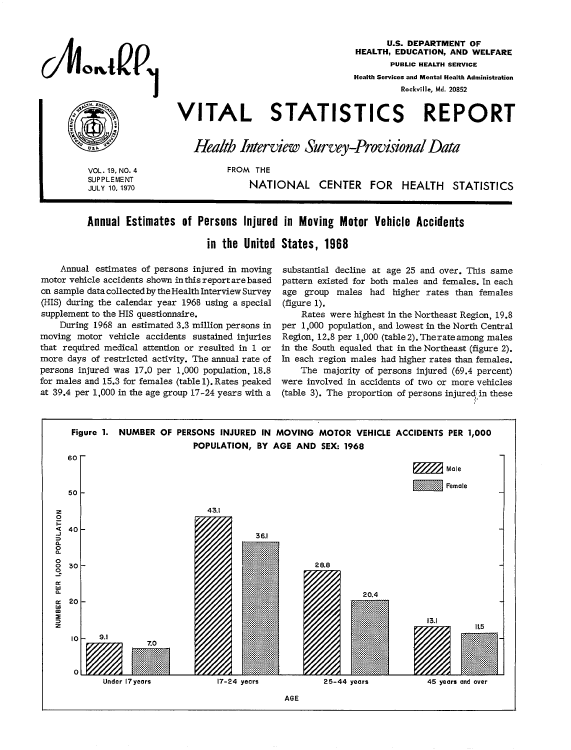

 $\sqrt{N+1}$  $\sim$ 

 $\mathbb{Q}(\mathbf{D})$  $\left(\bigcirc\right)$  $\left(\bigoplus_{i=1}^n\left(\bigoplus_{j=1}^n\right)^{i}\right)$ 

U.S. DEPARTMENT OF HEALTH, EDUCATION, AND WELFARE

Health Setwices and MentaIHeaIth Administration

Rockville, Md. 20852

# **land STATISTICS REPORTIGE STATISTICS** REPORTIGE PREPORTIGE PREPORTIGE PREPORTIGE PREPORTIGE PREPORTIGE PREPORTIGE PREPORTIGE PREPORTIGE PREPORTIGE PREPORTIGE PREPORTIGE PREPORTIGE PREPORTIGE PREPORTIGE PREPORTIGE PREPORTI

**VOL. 19, NO. 4**<br> **I SUPPLEMENT**<br> **I JULY 10, 1970**<br> **I I NA** SUPPLEMENT **JULY 10, 1970** 

JULY 10, 1970 NATIONAL CENTER FOR HEALTH STATISTIC

## Annual Estimates of Persons Injured in Moving Motor Vehicle Accidents

FROM THE

### in the United States, 1968

Annual estimates of persons injured in moving motor vehicle accidents shown in this report are based on sample data collected by the Health Interview Survey (HIS) during the calendar year 1968 using a special supplement to the HIS questionnaire.

During 1968 an estimated 3.3 million persons in moving motor vehicle accidents sustained injuries that required medical attention or resulted in 1 or more days of restricted activity. The annual rate of persons injured was 17.0 per 1,000 population, 18.8 for males and 15.3 for females (table 1). Rates peaked persons injured was 1/10 per 1,000 population, 18.8 The majority of persons injured (69.4 percent<br>for males and 15.3 for females (table 1). Rates peaked were involved in accidents of two or more vehicle<br>at 39.4 per 1,000 i

substantial decline at age 25 and over. This same pattern existed for both males and females. In each age group males had higher rates than females (figure 1).

Rates were highest in the Northeast Region, 19.8 per 1,000 population, and lowest in the North Central Region, 12.8 per 1,000 (table 2). The rate among males in the South equaled that in the Northeast (figure 2). In each region males had higher rates than females.

The majority of persons injured (69.4 percent)

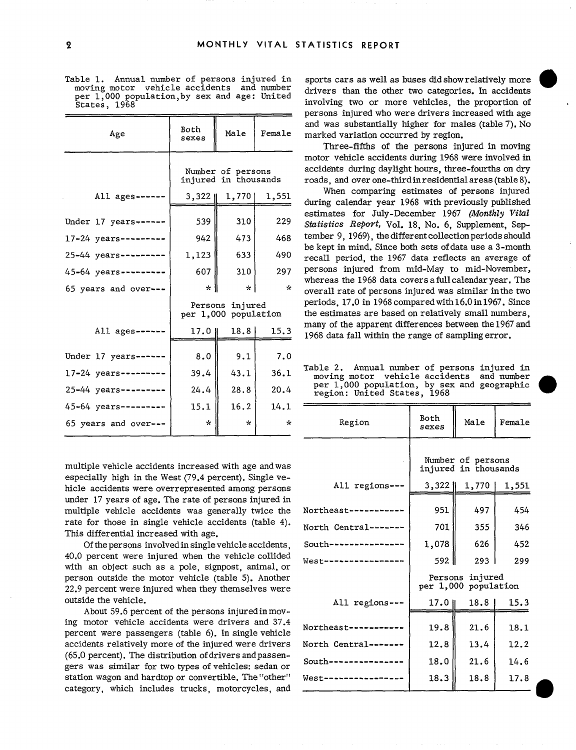Table 1. Annual number of persons injured in sports cars as well as buses did show relatively more moving motor vehicle accidents and number drivers than the other two categories. In accidents per 1,000 population, by sex

| Age                       | Both<br>sexes                             | Male           | Female        |  |  |
|---------------------------|-------------------------------------------|----------------|---------------|--|--|
|                           | Number of persons<br>injured in thousands |                |               |  |  |
| All $ages---$             |                                           | 3,322    1,770 | 1,551         |  |  |
| Under 17 years ----       | 539                                       | 310            | 229           |  |  |
| 17-24 years--------       | 942                                       | 473            | 468           |  |  |
| 25-44 years ---------     | 1,123                                     | 633            | 490           |  |  |
| 45-64 years ---------     | 607                                       | 310            | 297           |  |  |
| 65 years and over---      | $\star$                                   | $\mathbf{r}$   | $\mathcal{R}$ |  |  |
|                           | Persons injured<br>per 1,000 population   |                |               |  |  |
| All ages----              | 17.01                                     | 18.8           | 15.3          |  |  |
| Under 17 years ----       | 8.0                                       | 9.1            | 7.0           |  |  |
| $17 - 24$ years --------- | 39.4                                      | 43.1           | 36.1          |  |  |
| $25 - 44$ years --------- | 24.4                                      | 28.8           | 20.4          |  |  |
| 45-64 years --------      | 15.1                                      | 16.2           | 14.1          |  |  |
| 65 years and over---      | $\star$                                   | $\star$        | $\mathbf{r}$  |  |  |

per 1,000 population, by sex and age: United involving two or more vehicles, the proportion of States, 1968" persons injured whowere drivers increased with age and was substantially higher for males (table 7). No marked variation occurred by region.

> Three-fifths of the persons injured in moving motor vehicle accidents during 1968 were involved in accidents during daylight hours, three-fourths on dry roads, and over one-third in residential areas (table 8).

> When comparing estimates of persons injured during calendar year 1968 with previously published estimates for July-December 1967 (Monthly *Vital*  Statistics Report, Vol. 18, No. 6, Supplement, September 9, 1969), the different collection periods should be kept in mind. Since both sets of data use a 3-month recall period, the 1967 data reflects an average of persons injured from mid-May to mid-November, whereas the 1968 data covers a full calendar year. The overall rate of persons injured was similar in the two periods, 17.0 in 1968 compared with  $16.0$  in 1967. Since the estimates are based on relatively small numbers, many of the apparent differences between the 1967 and 1968 data fall within the range of sampling error.

> Table 2. Annual number of persons injured in moving motor vehicle accidents and number per 1,000 population, by sex and geographic<br>region: United States, 1968

| 45-64 years---------<br>65 years and over---                                                                                                                   | 15.1<br>$\mathcal{R}$ | 16.2<br>$\mathbf{k}$ | 14.1<br>$\mathcal{N}$ | Region               | Both<br>sexes | Male                                      | Female |
|----------------------------------------------------------------------------------------------------------------------------------------------------------------|-----------------------|----------------------|-----------------------|----------------------|---------------|-------------------------------------------|--------|
| multiple vehicle accidents increased with age and was<br>especially high in the West (79.4 percent). Single ve-                                                |                       |                      |                       |                      |               | Number of persons<br>injured in thousands |        |
| hicle accidents were overrepresented among persons                                                                                                             |                       |                      |                       | All regions ---      | $3,322$       | 1,770                                     | 1,551  |
| under 17 years of age. The rate of persons injured in<br>multiple vehicle accidents was generally twice the                                                    |                       |                      |                       | Northeast---------   | 951           | 497                                       | 454    |
| rate for those in single vehicle accidents (table 4).<br>This differential increased with age.                                                                 |                       |                      |                       | North Central------- | 701           | 355                                       | 346    |
| Of the persons involved in single vehicle accidents,                                                                                                           |                       |                      |                       | South-------------   | 1,078         | 626                                       | 452    |
| 40.0 percent were injured when the vehicle collided<br>with an object such as a pole, signpost, animal, or                                                     |                       |                      |                       | $West$ ------------- | 592 l         | 293                                       | 299    |
| person outside the motor vehicle (table 5). Another<br>22.9 percent were injured when they themselves were                                                     |                       |                      |                       |                      |               | Persons injured<br>per 1,000 population   |        |
| outside the vehicle.                                                                                                                                           |                       |                      |                       | All regions ---      | $17.0$        | 18.8                                      | 15.3   |
| About 59.6 percent of the persons injured in mov-<br>ing motor vehicle accidents were drivers and 37.4<br>percent were passengers (table 6). In single vehicle |                       |                      |                       | Northeast--------    | 19.8          | 21.6                                      | 18.1   |
| accidents relatively more of the injured were drivers                                                                                                          |                       |                      |                       | North Central------- | 12.8          | 13.4                                      | 12.2   |
| (65.0 percent). The distribution of drivers and passen-<br>gers was similar for two types of vehicles: sedan or                                                |                       |                      |                       | South--              | 18.0          | 21.6                                      | 14.6   |
| station wagon and hardtop or convertible. The "other"<br>category, which includes trucks, motorcycles, and                                                     |                       |                      |                       | West-----------      | 18.3          | 18.8                                      | 17.8   |
|                                                                                                                                                                |                       |                      |                       |                      |               |                                           |        |

0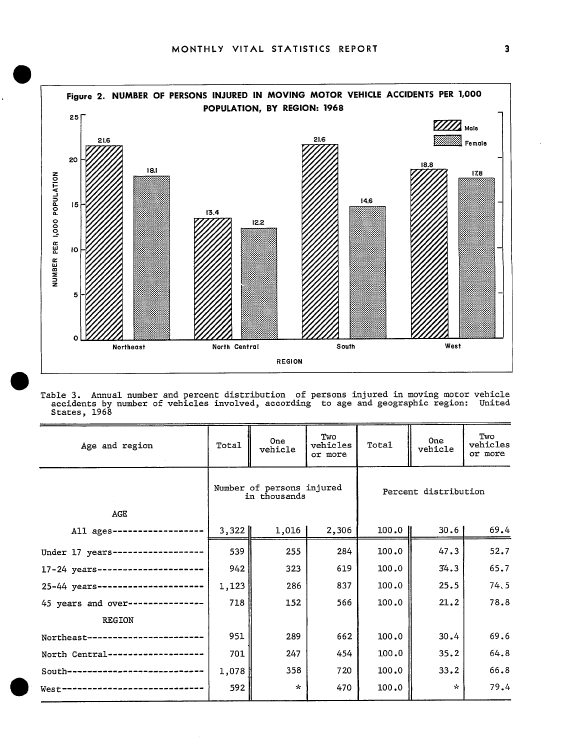

Table 3. Annual number and percent distribution of persons injured in moving motor vehicle accidents bv number of vehicles involved, according to age and geographic region: United States, 1963

| Age and region                    | Total   | 0ne<br>vehicle                            | Two<br>vehicles<br>or more | Total   | One<br>vehicle       | Two<br>vehicles<br>or more |
|-----------------------------------|---------|-------------------------------------------|----------------------------|---------|----------------------|----------------------------|
|                                   |         | Number of persons injured<br>in thousands |                            |         | Percent distribution |                            |
| AGE                               |         |                                           |                            |         |                      |                            |
| All ages ------                   | $3,322$ | 1,016                                     | 2,306                      | $100.0$ | 30.61                | 69.4                       |
| Under 17 years--                  | 539     | 255                                       | 284                        | 100.0   | 47.3                 | 52.7                       |
| $17 - 24$ years------------------ | 942     | 323                                       | 619                        | 100.0   | 34.3                 | 65.7                       |
| 25-44 years------------------     | 1,123   | 286                                       | 837                        | 100.0   | 25.5                 | 74.5                       |
| 45 years and over---------------  | 718     | 152                                       | 566                        | 100.0   | 21.2                 | 78.8                       |
| <b>REGION</b>                     |         |                                           |                            |         |                      |                            |
| Northeast--------------           | 951     | 289                                       | 662                        | 100.0   | 30.4                 | 69.6                       |
| North Central----------------     | 701     | 247                                       | 454                        | 100.0   | 35.2                 | 64.8                       |
| South-------------------------    | 1,078   | 358                                       | 720                        | 100.0   | 33.2                 | 66.8                       |
| $West-$                           | 592     | $\mathcal{R}$                             | 470                        | 100.0   | $\sim$               | 79.4                       |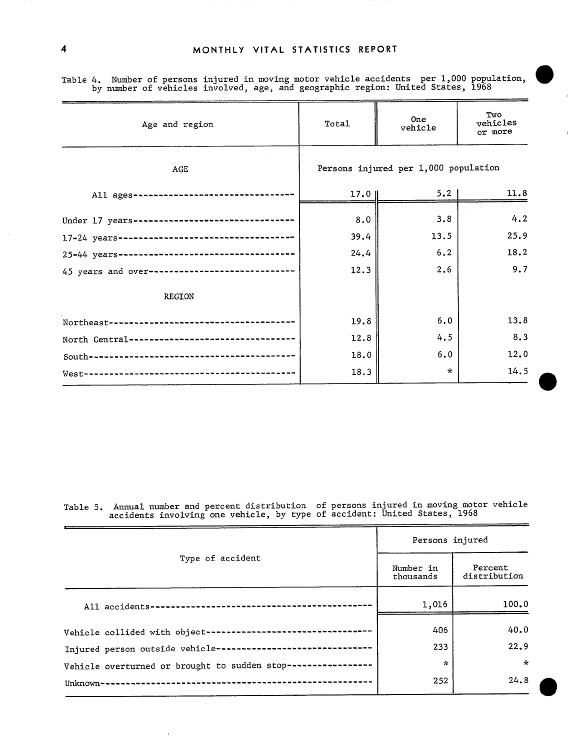| Age and region                                  | Total  | One<br>vehicle                       | Two<br>vehicles<br>or more |  |  |
|-------------------------------------------------|--------|--------------------------------------|----------------------------|--|--|
| AGE                                             |        | Persons injured per 1,000 population |                            |  |  |
| All ages ----------------                       | $17.0$ | 5.2<br>11.8                          |                            |  |  |
| Under 17 years-------------------------------   | 8.0    | 3.8                                  | 4.2                        |  |  |
|                                                 | 39.4   | 13.5                                 | 25.9                       |  |  |
|                                                 | 24.4   | 6.2                                  | 18.2                       |  |  |
| 45 years and over------------------------------ | 12.3   | 2.6                                  | 9.7                        |  |  |
| REGION                                          |        |                                      |                            |  |  |
| Northeast---------------------                  | 19.8   | 6.0                                  | 13.8                       |  |  |
| North Central-------------------------------    | 12.8   | 4.5                                  | 8.3                        |  |  |
|                                                 | 18.0   | 6.0                                  | 12.0                       |  |  |
|                                                 | 18.3   | $\star$                              | 14.5                       |  |  |

Table 4. Number of persons injured in moving motor vehicle accidents per 1,000 population, @ by number of vehicles involved, age, and geographic region: United States, 1968

Table 5. Annual number and percent distribution of persons injured in moving motor vehicle accidents involving one vehicle, by type of accident: United States, 1968

|                                                              | Persons injured        |                         |  |  |
|--------------------------------------------------------------|------------------------|-------------------------|--|--|
| Type of accident                                             | Number in<br>thousands | Percent<br>distribution |  |  |
| All accidents----------------------------------              | 1,016                  | 100.0                   |  |  |
| Vehicle collided with object------------------------------   | 406                    | 40.0                    |  |  |
| Injured person outside vehicle----------------------------   | 233                    | 22.9                    |  |  |
| Vehicle overturned or brought to sudden stop---------------- | ÷.                     | $\star$                 |  |  |
| Unknown-                                                     | 252                    | 24.8                    |  |  |

 $\bar{r}$ 

�

�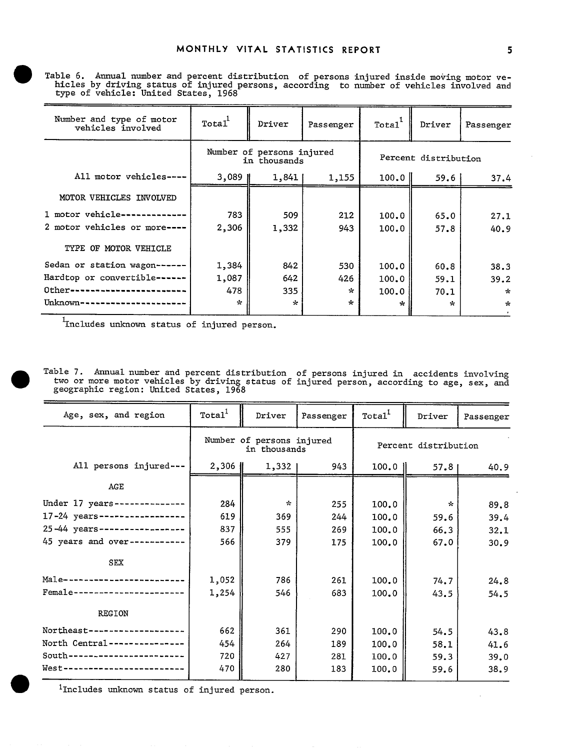� Table 6. Annual number and percent distribution of persons injured inside moving motor ve hicles by driving status of injured persons, according to number of vehicles involved and type of vehicle: United States, 1968

| Number and type of motor<br>vehicles involved | Total <sup>1</sup>                        | Driver  | Passenger | Total <sup>-</sup> | Driver               | Passenger     |
|-----------------------------------------------|-------------------------------------------|---------|-----------|--------------------|----------------------|---------------|
|                                               | Number of persons injured<br>in thousands |         |           |                    | Percent distribution |               |
| All motor vehicles-                           | $3,089$ H                                 | 1,841   | 1,155     | $100.0$            | 59.6                 | 37.4          |
| MOTOR VEHICLES INVOLVED                       |                                           |         |           |                    |                      |               |
| 1 motor vehicle ---                           | 783                                       | 509     | 212       | 100.0              | 65.0                 | 27.1          |
| 2 motor vehicles or more----                  | 2,306                                     | 1,332   | 943       | 100.0              | 57.8                 | 40.9          |
| TYPE OF MOTOR VEHICLE                         |                                           |         |           |                    |                      |               |
| Sedan or station wagon-                       | 1,384                                     | 842     | 530       | 100.0              | 60.8                 | 38.3          |
| Hardtop or convertible--                      | 1,087                                     | 642     | 426       | 100.0              | 59.1                 | 39.2          |
| Other---                                      | 478                                       | 335     | $\star$   | 100.0              | 70.1                 | $\pm$         |
| --------------<br>Unknown--                   | $\star$                                   | $\star$ | ÷         | ÷                  | $\star$              | $\mathcal{L}$ |
|                                               |                                           |         |           |                    |                      |               |

 $^1$ Includes unknown status of injured person.

� Table 7. Annual number and percent distribution of persons injured in accidents involving two or more motor vehicles by driving status of injured person, according to age, sex, and geographic region; United States, 1968

| Age, sex, and region          | Total <sup>1</sup>                        | Driver       | Passenger | Total <sup>1</sup>   | Driver        | Passenger |  |
|-------------------------------|-------------------------------------------|--------------|-----------|----------------------|---------------|-----------|--|
|                               | Number of persons injured<br>in thousands |              |           | Percent distribution |               |           |  |
| All persons injured---        | $2,306$                                   | 1,332 1      | 943       | $100.0$              | 57.81         | 40.9      |  |
| <b>AGE</b>                    |                                           |              |           |                      |               |           |  |
| Under 17 years--------------  | 284                                       | $\mathbf{r}$ | 255       | 100.0                | $\mathcal{R}$ | 89.8      |  |
| 17-24 years-----------------  | 619                                       | 369          | 244       | 100.0                | 59.6          | 39.4      |  |
| 25-44 years-----------------  | 837                                       | 555          | 269       | 100.0                | 66.3          | 32.1      |  |
| 45 years and over-----------  | 566                                       | 379          | 175       | 100.0                | 67.0          | 30.9      |  |
| <b>SEX</b>                    |                                           |              |           |                      |               |           |  |
| Male------------------------  | 1,052                                     | 786          | 261       | 100.0                | 74.7          | 24.8      |  |
| Female----------------------- | 1,254                                     | 546          | 683       | 100.0                | 43.5          | 54.5      |  |
| <b>REGION</b>                 |                                           |              |           |                      |               |           |  |
| Northeast-----------------    | 662                                       | 361          | 290       | 100.0                | 54.5          | 43.8      |  |
| North Central---------------  | 454                                       | 264          | 189       | 100.0                | 58.1          | 41.6      |  |
| South-----------------------  | 720                                       | 427          | 281       | 100.0                | 59.3          | 39.0      |  |
| West---------------------     | 470                                       | 280          | 183       | 100.0                | 59.6          | 38.9      |  |

<sup>1</sup>Includes unknown status of injured person.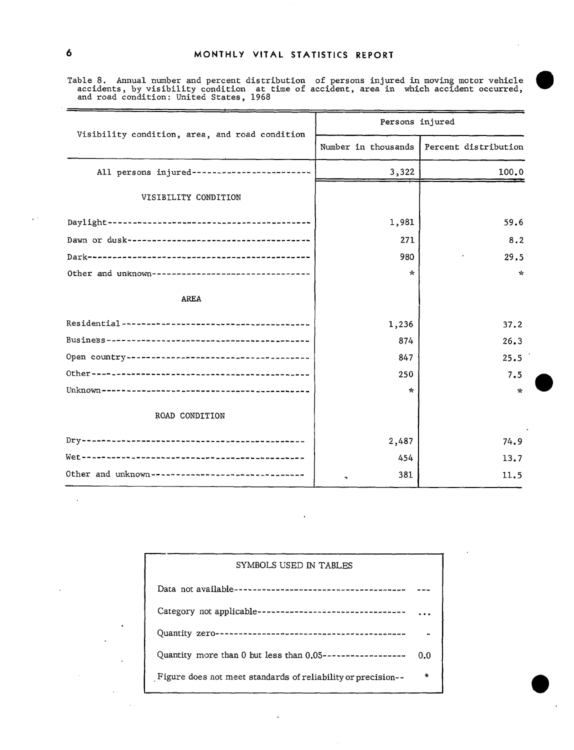Table 8. Annual number and percent distribution of persons injured in moving motor vehicle ble 8. Annual number and percent distribution of persons injured in moving motor vehicle <br>accidents, by visibility condition at time of accident, area in which accident occurred, and road condition: United States, 1968

| Visibility condition, area, and road condition    | Persons injured |                                            |  |
|---------------------------------------------------|-----------------|--------------------------------------------|--|
|                                                   |                 | Number in thousands   Percent distribution |  |
| All persons injured-------------------------      | 3,322           | 100.0                                      |  |
| VISIBILITY CONDITION                              |                 |                                            |  |
|                                                   | 1,981           | 59.6                                       |  |
|                                                   | 271             | 8.2                                        |  |
|                                                   | 980             | 29.5                                       |  |
| Other and unknown-------------------------------- | ÷               | $\mathbf{k}$                               |  |
| <b>AREA</b>                                       |                 |                                            |  |
|                                                   | 1,236           | 37.2                                       |  |
|                                                   | 874             | 26.3                                       |  |
|                                                   | 847             | 25.5                                       |  |
|                                                   | 250             | 7.5                                        |  |
|                                                   | ÷               | ÷.                                         |  |
| ROAD CONDITION                                    |                 |                                            |  |
|                                                   | 2,487           | 74.9                                       |  |
|                                                   | 454             | 13.7                                       |  |
| Other and unknown-------------------------------  | 381             | 11.5                                       |  |

| SYMBOLS USED IN TABLES                                       |        |
|--------------------------------------------------------------|--------|
|                                                              |        |
| Category not applicable---------------------------------     |        |
|                                                              |        |
| Quantity more than 0 but less than $0.05$ ------------------ | 0.0    |
| Figure does not meet standards of reliability or precision-- | $\ast$ |

 $\ddot{\phantom{0}}$ 

 $\mathbf{v}$ 

 $\sim$   $^{\prime}$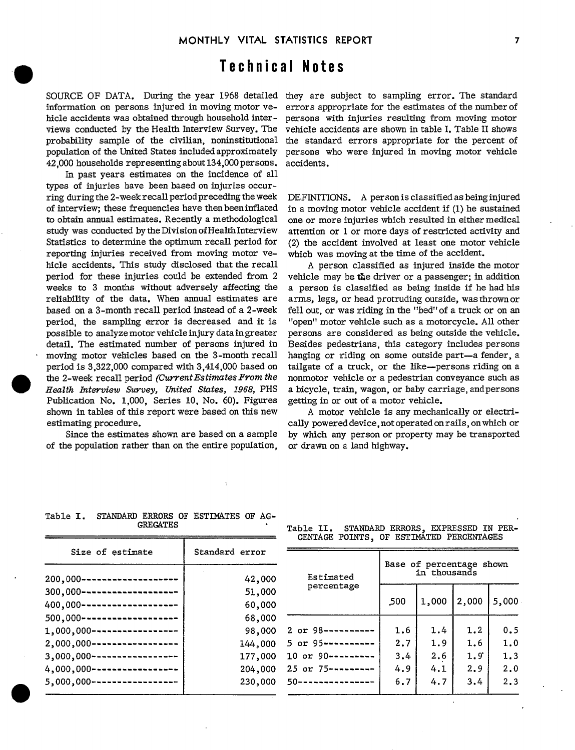# Technical Notes

SOURCE OF DATA. During the year 1968 detailed they are subject to sampling error. The standar information on persons injured in moving motor vehicle accidents was obtained through household interviews conducted by the Health Interview Survey. The probability sample of the civilian, noninstitutional population of the United States included approximately 42,000 households representing about 134,000 persons.

In past years estimates on the incidence of all types of injuries have been based on injuries occurring during the 2-week recall period preceding the week of interview; these frequencies have then been inflated to obtain annual estimates. Recently a methodological study was conducted by the Division of Health Interview Statistics to determine the optimum recall period for reporting injuries received from moving motor vehicle accidents. This study disclosed that the recall period for these injuries could be extended from 2 weeks to 3 months without adversely affecting the reliability of the data. When annual estimates are based on a 3-month recall period instead of a 2-week period, the sampling error is decreased and it is possible to analyze motor vehicle injury data in greater detail. The estimated number of persons injured in moving motor vehicles based on the 3-month recall period is  $3,322,000$  compared with  $3,414,000$  based on the 2-week recall period *(Current Estimates From the Health Interview Sumey, United Stutes, 1968,* PI-IS Publication No. 1,000, Series 10, No. 60). Figures shown in tables of this report were based on this new estimating procedure.

Since the estimates shown are based on a sample of the population rather than on the entire population,

errors appropriate for the estimates of the number of persons with injuries resulting from moving motor vehicle accidents are shown in table I. Table H shows the standard errors appropriate for the percent of persons who were injured in moving motor vehicle accidents.

DEFINITIONS. A person is classified as being injured in a moving motor vehicle accident if (1) he sustained one or more injuries which resulted in either medical attention or 1 or more days of restricted activity and (2) the accident involved at least one motor vehicle which was moving at the time of the accident.

A person classified as injured inside the motor vehicle may be the driver or a passenger; in addition a person is classified as being inside if he had his arms, legs, or head protruding outside, was thrown or fell out, or was riding in the "bed" of a truck or on an "open" motor vehicle such as a motorcycle. All other persons are considered as being outside the vehicle. Besides pedestrians, this category includes persons hanging or riding on some outside part-a fender, a tailgate of a truck, or the like-persons riding on a nonmotor vehicle or a pedestrian conveyance such as a bicycle, train, wagon, or baby carriage, and persons getting in or out of a motor vehicle.

A motor vehicle is any mechanically or electrically powered device, not operated on rails, on which or by which any person or property may be transported or drawn on a land highway.

| Size of estimate                | Standard error |                        |                                          |       |       |       |  |
|---------------------------------|----------------|------------------------|------------------------------------------|-------|-------|-------|--|
| $200,000 -$<br>---------------- | 42,000         | Estimated              | Base of percentage shown<br>in thousands |       |       |       |  |
| 300,000-                        | 51,000         | percentage             |                                          |       |       |       |  |
| $400,000 -$<br>                 | 60,000         |                        | ,500                                     | 1,000 | 2,000 | 5,000 |  |
| $500,000 -$<br>-------------    | 68,000         |                        |                                          |       |       |       |  |
| 1,000,000-<br>-------------     | 98,000         | 2 or 98----------      | 1.6                                      | 1.4   | 1.2   | 0.5   |  |
| $2,000,000 -$<br>------------   | 144,000        | $5$ or $95$ ---------  | 2.7                                      | 1.9   | 1.6   | 1.0   |  |
| $3,000,000 -$<br>-------------  | 177,000        | 10 or 90 ---------     | 3.4                                      | 2.6   | 1.9   | 1.3   |  |
| $4,000,000 -$                   | 204,000        | $25$ or $75$ --------- | 4.9                                      | 4.1   | 2.9   | 2.0   |  |
| $5,000,000 -$<br>               | 230,000        | $50$ ---------------   | 6.7                                      | 4.7   | 3.4   | 2.3   |  |

#### Table **I.** STANDARD ERRORS OF ESTIMATES OF AG-**GREGATES**

 $\bullet$ 

 $\bullet$ 

Table II. STANDARDERRORS, EXPRESSED IN PER-